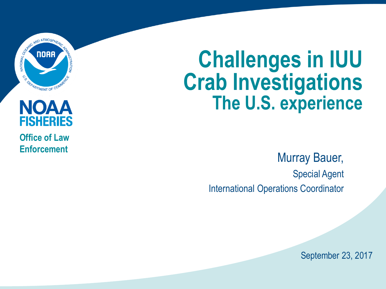

#### **NOAA FISHERIES**

**Office of Law Enforcement**

# **Challenges in IUU Crab Investigations The U.S. experience**

Murray Bauer, Special Agent International Operations Coordinator

September 23, 2017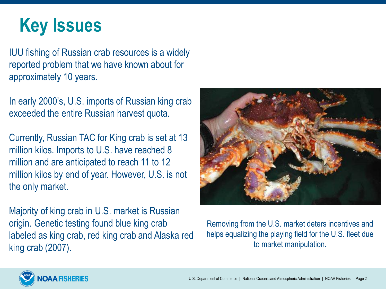# **Key Issues**

IUU fishing of Russian crab resources is a widely reported problem that we have known about for approximately 10 years.

In early 2000's, U.S. imports of Russian king crab exceeded the entire Russian harvest quota.

Currently, Russian TAC for King crab is set at 13 million kilos. Imports to U.S. have reached 8 million and are anticipated to reach 11 to 12 million kilos by end of year. However, U.S. is not the only market.

Majority of king crab in U.S. market is Russian origin. Genetic testing found blue king crab labeled as king crab, red king crab and Alaska red king crab (2007).



Removing from the U.S. market deters incentives and helps equalizing the playing field for the U.S. fleet due to market manipulation.

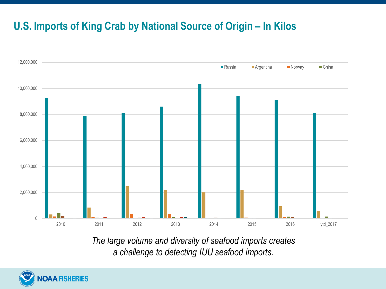#### **U.S. Imports of King Crab by National Source of Origin – In Kilos**



*The large volume and diversity of seafood imports creates a challenge to detecting IUU seafood imports.* 

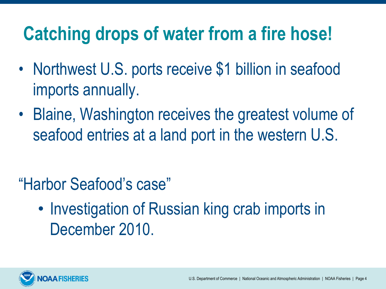# **Catching drops of water from a fire hose!**

- Northwest U.S. ports receive \$1 billion in seafood imports annually.
- Blaine, Washington receives the greatest volume of seafood entries at a land port in the western U.S.

- "Harbor Seafood's case"
	- Investigation of Russian king crab imports in December 2010.

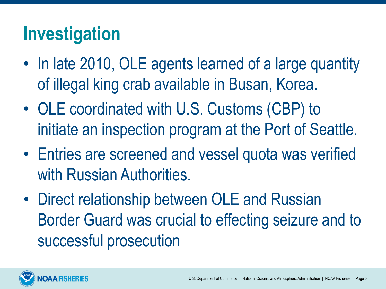## **Investigation**

- In late 2010, OLE agents learned of a large quantity of illegal king crab available in Busan, Korea.
- OLE coordinated with U.S. Customs (CBP) to initiate an inspection program at the Port of Seattle.
- Entries are screened and vessel quota was verified with Russian Authorities.
- Direct relationship between OLE and Russian Border Guard was crucial to effecting seizure and to successful prosecution

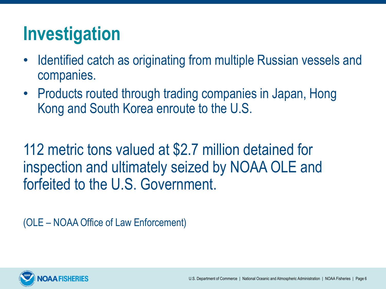## **Investigation**

- Identified catch as originating from multiple Russian vessels and companies.
- Products routed through trading companies in Japan, Hong Kong and South Korea enroute to the U.S.

112 metric tons valued at \$2.7 million detained for inspection and ultimately seized by NOAA OLE and forfeited to the U.S. Government.

(OLE – NOAA Office of Law Enforcement)

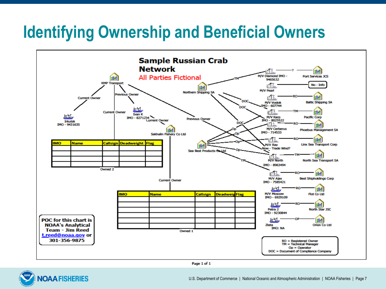#### **Identifying Ownership and Beneficial Owners**



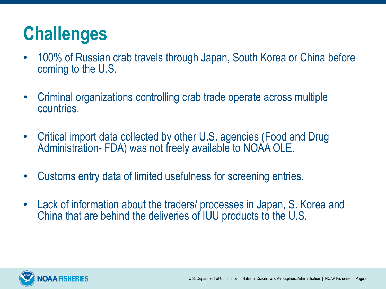## **Challenges**

- 100% of Russian crab travels through Japan, South Korea or China before coming to the U.S.
- Criminal organizations controlling crab trade operate across multiple countries.
- Critical import data collected by other U.S. agencies (Food and Drug Administration- FDA) was not freely available to NOAA OLE.
- Customs entry data of limited usefulness for screening entries.
- Lack of information about the traders/ processes in Japan, S. Korea and China that are behind the deliveries of IUU products to the U.S.

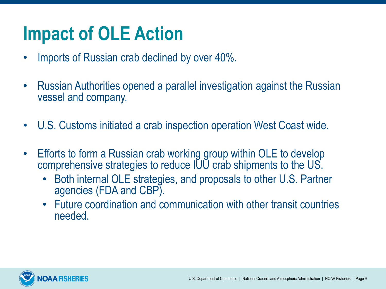# **Impact of OLE Action**

- Imports of Russian crab declined by over 40%.
- Russian Authorities opened a parallel investigation against the Russian vessel and company.
- U.S. Customs initiated a crab inspection operation West Coast wide.
- Efforts to form a Russian crab working group within OLE to develop comprehensive strategies to reduce IUU crab shipments to the US.
	- Both internal OLE strategies, and proposals to other U.S. Partner agencies (FDA and CBP).
	- Future coordination and communication with other transit countries needed.

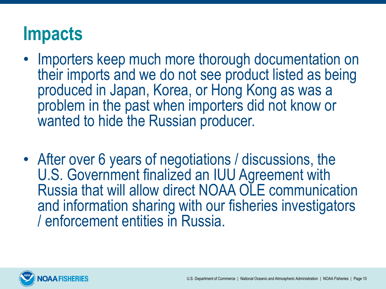### **Impacts**

- Importers keep much more thorough documentation on their imports and we do not see product listed as being produced in Japan, Korea, or Hong Kong as was a problem in the past when importers did not know or wanted to hide the Russian producer.
- After over 6 years of negotiations / discussions, the U.S. Government finalized an IUU Agreement with Russia that will allow direct NOAA OLE communication and information sharing with our fisheries investigators / enforcement entities in Russia.